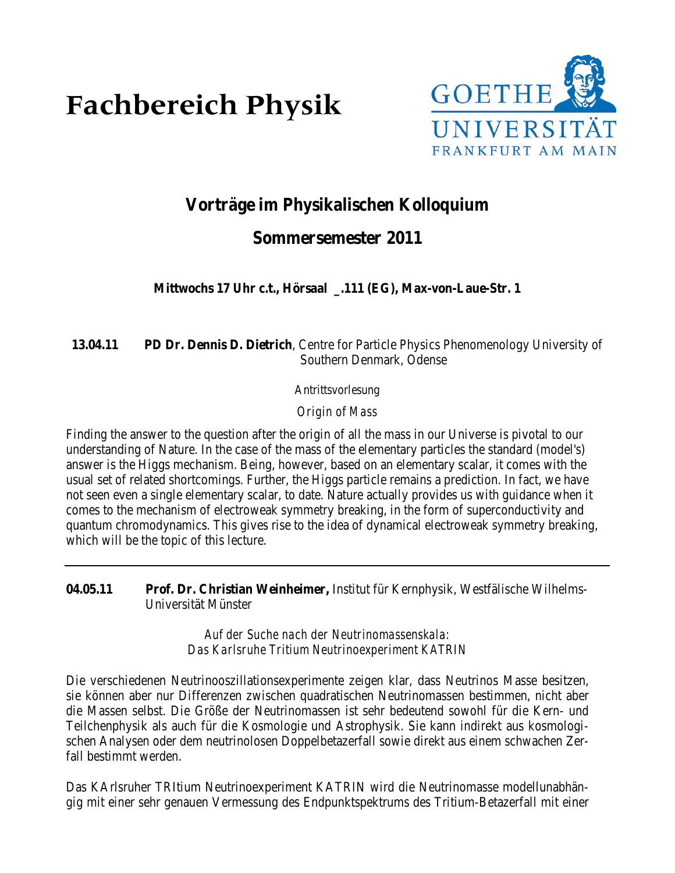# **Fachbereich Physik**



# **Vorträge im Physikalischen Kolloquium**

# **Sommersemester 2011**

**Mittwochs 17 Uhr c.t., Hörsaal \_.111 (EG), Max-von-Laue-Str. 1**

# **13.04.11 PD Dr. Dennis D. Dietrich**, Centre for Particle Physics Phenomenology University of Southern Denmark, Odense

Antrittsvorlesung

*Origin of Mass*

Finding the answer to the question after the origin of all the mass in our Universe is pivotal to our understanding of Nature. In the case of the mass of the elementary particles the standard (model's) answer is the Higgs mechanism. Being, however, based on an elementary scalar, it comes with the usual set of related shortcomings. Further, the Higgs particle remains a prediction. In fact, we have not seen even a single elementary scalar, to date. Nature actually provides us with guidance when it comes to the mechanism of electroweak symmetry breaking, in the form of superconductivity and quantum chromodynamics. This gives rise to the idea of dynamical electroweak symmetry breaking, which will be the topic of this lecture.

**04.05.11 Prof. Dr. Christian Weinheimer,** Institut für Kernphysik, Westfälische Wilhelms- Universität Münster

> *Auf der Suche nach der Neutrinomassenskala: Das Karlsruhe Tritium Neutrinoexperiment KATRIN*

Die verschiedenen Neutrinooszillationsexperimente zeigen klar, dass Neutrinos Masse besitzen, sie können aber nur Differenzen zwischen quadratischen Neutrinomassen bestimmen, nicht aber die Massen selbst. Die Größe der Neutrinomassen ist sehr bedeutend sowohl für die Kern- und Teilchenphysik als auch für die Kosmologie und Astrophysik. Sie kann indirekt aus kosmologischen Analysen oder dem neutrinolosen Doppelbetazerfall sowie direkt aus einem schwachen Zerfall bestimmt werden.

Das KArlsruher TRItium Neutrinoexperiment KATRIN wird die Neutrinomasse modellunabhängig mit einer sehr genauen Vermessung des Endpunktspektrums des Tritium-Betazerfall mit einer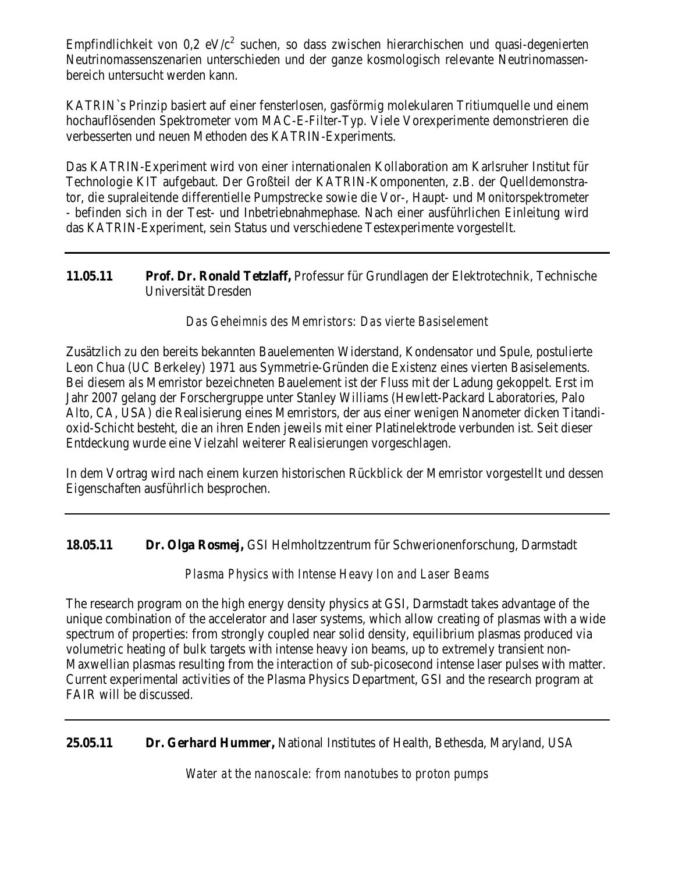Empfindlichkeit von  $0.2 \text{ eV}/c^2$  suchen, so dass zwischen hierarchischen und quasi-degenierten Neutrinomassenszenarien unterschieden und der ganze kosmologisch relevante Neutrinomassenbereich untersucht werden kann.

KATRIN`s Prinzip basiert auf einer fensterlosen, gasförmig molekularen Tritiumquelle und einem hochauflösenden Spektrometer vom MAC-E-Filter-Typ. Viele Vorexperimente demonstrieren die verbesserten und neuen Methoden des KATRIN-Experiments.

Das KATRIN-Experiment wird von einer internationalen Kollaboration am Karlsruher Institut für Technologie KIT aufgebaut. Der Großteil der KATRIN-Komponenten, z.B. der Quelldemonstrator, die supraleitende differentielle Pumpstrecke sowie die Vor-, Haupt- und Monitorspektrometer - befinden sich in der Test- und Inbetriebnahmephase. Nach einer ausführlichen Einleitung wird das KATRIN-Experiment, sein Status und verschiedene Testexperimente vorgestellt.

**11.05.11 Prof. Dr. Ronald Tetzlaff,** Professur für Grundlagen der Elektrotechnik, Technische Universität Dresden

# *Das Geheimnis des Memristors: Das vierte Basiselement*

Zusätzlich zu den bereits bekannten Bauelementen Widerstand, Kondensator und Spule, postulierte Leon Chua (UC Berkeley) 1971 aus Symmetrie-Gründen die Existenz eines vierten Basiselements. Bei diesem als Memristor bezeichneten Bauelement ist der Fluss mit der Ladung gekoppelt. Erst im Jahr 2007 gelang der Forschergruppe unter Stanley Williams (Hewlett-Packard Laboratories, Palo Alto, CA, USA) die Realisierung eines Memristors, der aus einer wenigen Nanometer dicken Titandioxid-Schicht besteht, die an ihren Enden jeweils mit einer Platinelektrode verbunden ist. Seit dieser Entdeckung wurde eine Vielzahl weiterer Realisierungen vorgeschlagen.

In dem Vortrag wird nach einem kurzen historischen Rückblick der Memristor vorgestellt und dessen Eigenschaften ausführlich besprochen.

**18.05.11 Dr. Olga Rosmej,** GSI Helmholtzzentrum für Schwerionenforschung, Darmstadt

# *Plasma Physics with Intense Heavy Ion and Laser Beams*

The research program on the high energy density physics at GSI, Darmstadt takes advantage of the unique combination of the accelerator and laser systems, which allow creating of plasmas with a wide spectrum of properties: from strongly coupled near solid density, equilibrium plasmas produced via volumetric heating of bulk targets with intense heavy ion beams, up to extremely transient non-Maxwellian plasmas resulting from the interaction of sub-picosecond intense laser pulses with matter. Current experimental activities of the Plasma Physics Department, GSI and the research program at FAIR will be discussed.

**25.05.11 Dr. Gerhard Hummer,** National Institutes of Health, Bethesda, Maryland, USA

*Water at the nanoscale: from nanotubes to proton pumps*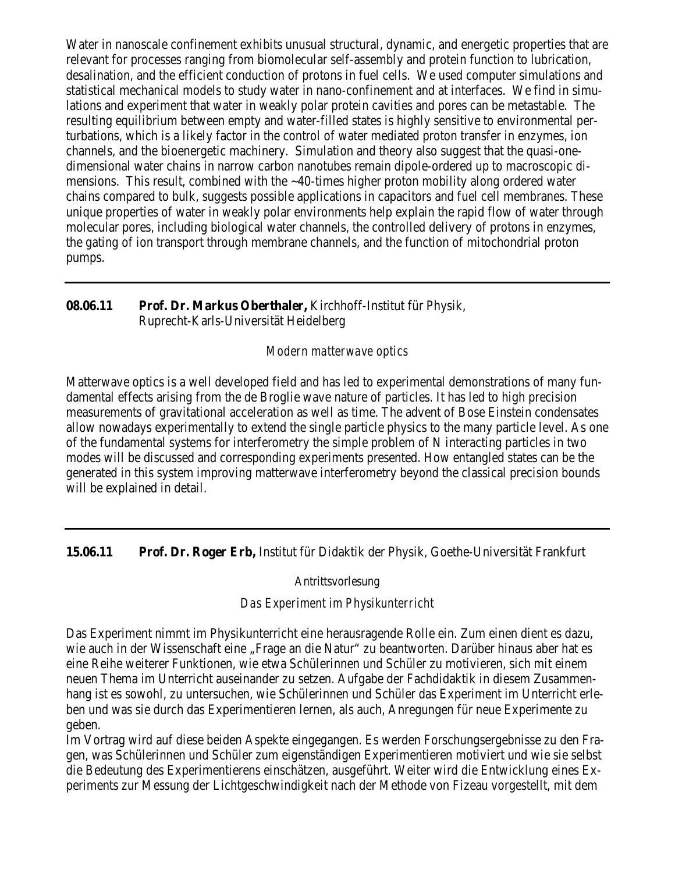Water in nanoscale confinement exhibits unusual structural, dynamic, and energetic properties that are relevant for processes ranging from biomolecular self-assembly and protein function to lubrication, desalination, and the efficient conduction of protons in fuel cells. We used computer simulations and statistical mechanical models to study water in nano-confinement and at interfaces. We find in simulations and experiment that water in weakly polar protein cavities and pores can be metastable. The resulting equilibrium between empty and water-filled states is highly sensitive to environmental perturbations, which is a likely factor in the control of water mediated proton transfer in enzymes, ion channels, and the bioenergetic machinery. Simulation and theory also suggest that the quasi-onedimensional water chains in narrow carbon nanotubes remain dipole-ordered up to macroscopic dimensions. This result, combined with the ~40-times higher proton mobility along ordered water chains compared to bulk, suggests possible applications in capacitors and fuel cell membranes. These unique properties of water in weakly polar environments help explain the rapid flow of water through molecular pores, including biological water channels, the controlled delivery of protons in enzymes, the gating of ion transport through membrane channels, and the function of mitochondrial proton pumps.

# **08.06.11 Prof. Dr. Markus Oberthaler,** Kirchhoff-Institut für Physik, Ruprecht-Karls-Universität Heidelberg

#### *Modern matterwave optics*

Matterwave optics is a well developed field and has led to experimental demonstrations of many fundamental effects arising from the de Broglie wave nature of particles. It has led to high precision measurements of gravitational acceleration as well as time. The advent of Bose Einstein condensates allow nowadays experimentally to extend the single particle physics to the many particle level. As one of the fundamental systems for interferometry the simple problem of N interacting particles in two modes will be discussed and corresponding experiments presented. How entangled states can be the generated in this system improving matterwave interferometry beyond the classical precision bounds will be explained in detail.

**15.06.11 Prof. Dr. Roger Erb,** Institut für Didaktik der Physik, Goethe-Universität Frankfurt

#### Antrittsvorlesung

#### *Das Experiment im Physikunterricht*

Das Experiment nimmt im Physikunterricht eine herausragende Rolle ein. Zum einen dient es dazu, wie auch in der Wissenschaft eine "Frage an die Natur" zu beantworten. Darüber hinaus aber hat es eine Reihe weiterer Funktionen, wie etwa Schülerinnen und Schüler zu motivieren, sich mit einem neuen Thema im Unterricht auseinander zu setzen. Aufgabe der Fachdidaktik in diesem Zusammenhang ist es sowohl, zu untersuchen, wie Schülerinnen und Schüler das Experiment im Unterricht erleben und was sie durch das Experimentieren lernen, als auch, Anregungen für neue Experimente zu geben.

Im Vortrag wird auf diese beiden Aspekte eingegangen. Es werden Forschungsergebnisse zu den Fragen, was Schülerinnen und Schüler zum eigenständigen Experimentieren motiviert und wie sie selbst die Bedeutung des Experimentierens einschätzen, ausgeführt. Weiter wird die Entwicklung eines Experiments zur Messung der Lichtgeschwindigkeit nach der Methode von Fizeau vorgestellt, mit dem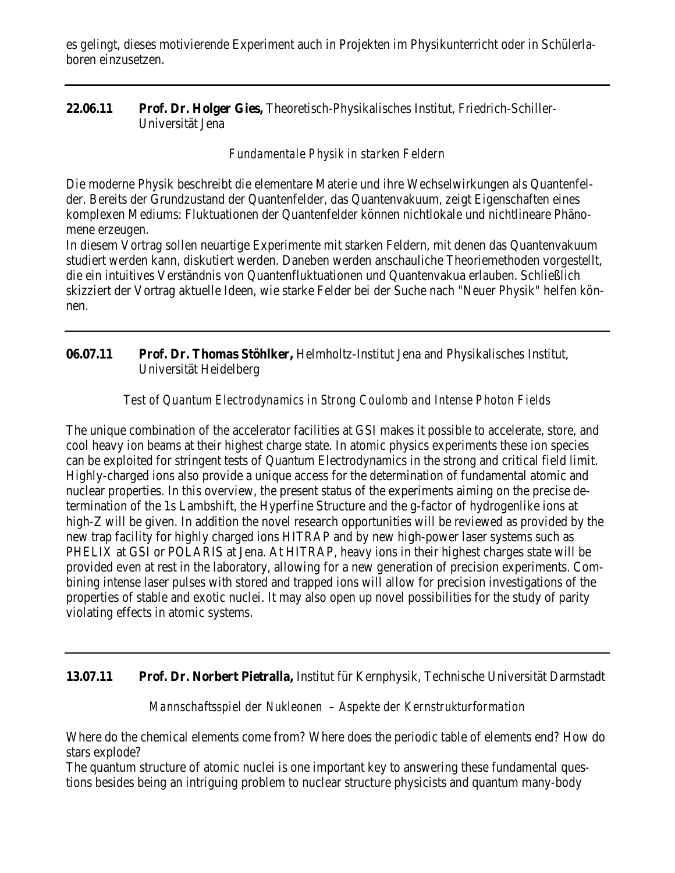es gelingt, dieses motivierende Experiment auch in Projekten im Physikunterricht oder in Schülerlaboren einzusetzen.

# **22.06.11 Prof. Dr. Holger Gies,** Theoretisch-Physikalisches Institut, Friedrich-Schiller-Universität Jena

## *Fundamentale Physik in starken Feldern*

Die moderne Physik beschreibt die elementare Materie und ihre Wechselwirkungen als Quantenfelder. Bereits der Grundzustand der Quantenfelder, das Quantenvakuum, zeigt Eigenschaften eines komplexen Mediums: Fluktuationen der Quantenfelder können nichtlokale und nichtlineare Phänomene erzeugen.

In diesem Vortrag sollen neuartige Experimente mit starken Feldern, mit denen das Quantenvakuum studiert werden kann, diskutiert werden. Daneben werden anschauliche Theoriemethoden vorgestellt, die ein intuitives Verständnis von Quantenfluktuationen und Quantenvakua erlauben. Schließlich skizziert der Vortrag aktuelle Ideen, wie starke Felder bei der Suche nach "Neuer Physik" helfen können.

# **06.07.11 Prof. Dr. Thomas Stöhlker,** Helmholtz-Institut Jena and Physikalisches Institut, Universität Heidelberg

# *Test of Quantum Electrodynamics in Strong Coulomb and Intense Photon Fields*

The unique combination of the accelerator facilities at GSI makes it possible to accelerate, store, and cool heavy ion beams at their highest charge state. In atomic physics experiments these ion species can be exploited for stringent tests of Quantum Electrodynamics in the strong and critical field limit. Highly-charged ions also provide a unique access for the determination of fundamental atomic and nuclear properties. In this overview, the present status of the experiments aiming on the precise determination of the 1s Lambshift, the Hyperfine Structure and the g-factor of hydrogenlike ions at high-Z will be given. In addition the novel research opportunities will be reviewed as provided by the new trap facility for highly charged ions HITRAP and by new high-power laser systems such as PHELIX at GSI or POLARIS at Jena. At HITRAP, heavy ions in their highest charges state will be provided even at rest in the laboratory, allowing for a new generation of precision experiments. Combining intense laser pulses with stored and trapped ions will allow for precision investigations of the properties of stable and exotic nuclei. It may also open up novel possibilities for the study of parity violating effects in atomic systems.

# **13.07.11 Prof. Dr. Norbert Pietralla,** Institut für Kernphysik, Technische Universität Darmstadt

#### *Mannschaftsspiel der Nukleonen – Aspekte der Kernstrukturformation*

Where do the chemical elements come from? Where does the periodic table of elements end? How do stars explode?

The quantum structure of atomic nuclei is one important key to answering these fundamental questions besides being an intriguing problem to nuclear structure physicists and quantum many-body